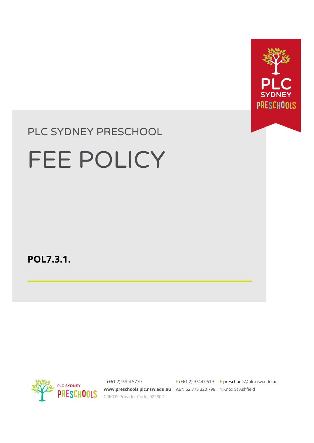

# PLC SYDNEY PRESCHOOL

# FEE POLICY

**POL7.3.1.**



T (+61 2) 9704 5770 **[www.preschools.plc.nsw.edu.au](http://www.plc.nsw.edu.au)** ABN 62 778 320 798 1 Knox St Ashfield CRICOS Provider Code: 02280D

 $F$  (+61 2) 9744 0519 E preschools[@plc.nsw.edu.au](mailto:enquiries@plc.nsw.edu.au)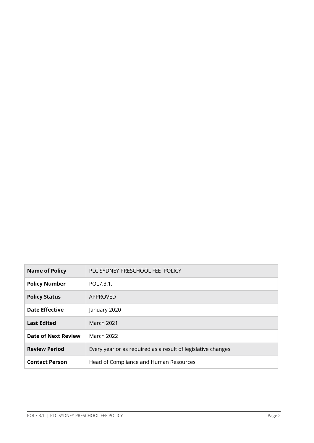| <b>Name of Policy</b> | PLC SYDNEY PRESCHOOL FEE POLICY                              |  |
|-----------------------|--------------------------------------------------------------|--|
| <b>Policy Number</b>  | POL7.3.1.                                                    |  |
| <b>Policy Status</b>  | APPROVED                                                     |  |
| <b>Date Effective</b> | January 2020                                                 |  |
| <b>Last Edited</b>    | March 2021                                                   |  |
| Date of Next Review   | March 2022                                                   |  |
| <b>Review Period</b>  | Every year or as required as a result of legislative changes |  |
| <b>Contact Person</b> | Head of Compliance and Human Resources                       |  |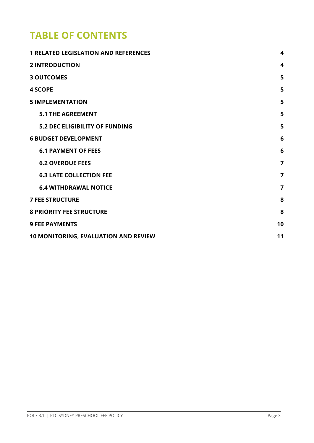## **TABLE OF CONTENTS**

| <b>1 RELATED LEGISLATION AND REFERENCES</b> | 4              |
|---------------------------------------------|----------------|
| <b>2 INTRODUCTION</b>                       | 4              |
| <b>3 OUTCOMES</b>                           | 5              |
| <b>4 SCOPE</b>                              | 5              |
| <b>5 IMPLEMENTATION</b>                     | 5              |
| <b>5.1 THE AGREEMENT</b>                    | 5              |
| <b>5.2 DEC ELIGIBILITY OF FUNDING</b>       | 5              |
| <b>6 BUDGET DEVELOPMENT</b>                 | 6              |
| <b>6.1 PAYMENT OF FEES</b>                  | 6              |
| <b>6.2 OVERDUE FEES</b>                     | $\overline{7}$ |
| <b>6.3 LATE COLLECTION FEE</b>              | $\overline{7}$ |
| <b>6.4 WITHDRAWAL NOTICE</b>                | $\overline{7}$ |
| <b>7 FEE STRUCTURE</b>                      | 8              |
| <b>8 PRIORITY FEE STRUCTURE</b>             | 8              |
| <b>9 FEE PAYMENTS</b>                       | 10             |
| <b>10 MONITORING, EVALUATION AND REVIEW</b> |                |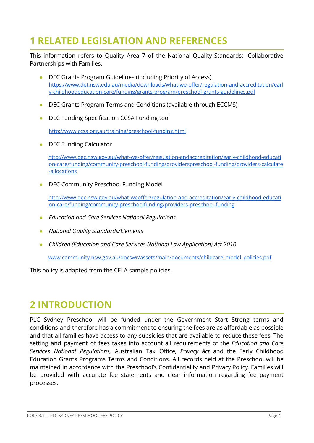## <span id="page-3-0"></span>**1 RELATED LEGISLATION AND REFERENCES**

This information refers to Quality Area 7 of the National Quality Standards: Collaborative Partnerships with Families.

- DEC Grants Program Guidelines (including Priority of Access[\)](https://www.det.nsw.edu.au/media/downloads/what-we-offer/regulation-and-accreditation/early-childhoodeducation-care/funding/grants-program/preschool-grants-guidelines.pdf) [https://www.det.nsw.edu.au/media/downloads/what-we-offer/regulation-and-accreditation/earl](https://www.det.nsw.edu.au/media/downloads/what-we-offer/regulation-and-accreditation/early-childhoodeducation-care/funding/grants-program/preschool-grants-guidelines.pdf) [y-childhoodeducation-care/funding/grants-program/preschool-grants-guidelines.pdf](https://www.det.nsw.edu.au/media/downloads/what-we-offer/regulation-and-accreditation/early-childhoodeducation-care/funding/grants-program/preschool-grants-guidelines.pdf)
- DEC Grants Program Terms and Conditions (available through ECCMS)
- DEC Funding Specification CCSA Funding tool

<http://www.ccsa.org.au/training/preschool-funding.html>

● DEC Funding Calculato[r](http://www.dec.nsw.gov.au/what-we-offer/regulation-andaccreditation/early-childhood-education-care/funding/community-preschool-funding/providerspreschool-funding/providers-calculate-allocations)

[http://www.dec.nsw.gov.au/what-we-offer/regulation-andaccreditation/early-childhood-educati](http://www.dec.nsw.gov.au/what-we-offer/regulation-andaccreditation/early-childhood-education-care/funding/community-preschool-funding/providerspreschool-funding/providers-calculate-allocations) [on-care/funding/community-preschool-funding/providerspreschool-funding/providers-calculate](http://www.dec.nsw.gov.au/what-we-offer/regulation-andaccreditation/early-childhood-education-care/funding/community-preschool-funding/providerspreschool-funding/providers-calculate-allocations) [-allocations](http://www.dec.nsw.gov.au/what-we-offer/regulation-andaccreditation/early-childhood-education-care/funding/community-preschool-funding/providerspreschool-funding/providers-calculate-allocations)

DEC Community Preschool Funding Model

[http://www.dec.nsw.gov.au/what-weoffer/regulation-and-accreditation/early-childhood-educati](http://www.dec.nsw.gov.au/what-weoffer/regulation-and-accreditation/early-childhood-education-care/funding/community-preschoolfunding/providers-preschool-funding) [on-care/funding/community-preschoolfunding/providers-preschool-funding](http://www.dec.nsw.gov.au/what-weoffer/regulation-and-accreditation/early-childhood-education-care/funding/community-preschoolfunding/providers-preschool-funding)

- *● Education and Care Services National Regulations*
- *● National Quality Standards/Elements*
- *● Children (Education and Care Services National Law Application) Act 2010*

[www.community.nsw.gov.au/docswr/assets/main/documents/childcare\\_model\\_policies.pdf](http://www.community.nsw.gov.au/docswr/_assets/main/documents/childcare_model_policies.pdf)

This policy is adapted from the CELA sample policies.

### <span id="page-3-1"></span>**2 INTRODUCTION**

PLC Sydney Preschool will be funded under the Government Start Strong terms and conditions and therefore has a commitment to ensuring the fees are as affordable as possible and that all families have access to any subsidies that are available to reduce these fees. The setting and payment of fees takes into account all requirements of the *Education and Care Services National Regulations,* Australian Tax Office*, Privacy Act* and the Early Childhood Education Grants Programs Terms and Conditions. All records held at the Preschool will be maintained in accordance with the Preschool's Confidentiality and Privacy Policy. Families will be provided with accurate fee statements and clear information regarding fee payment processes.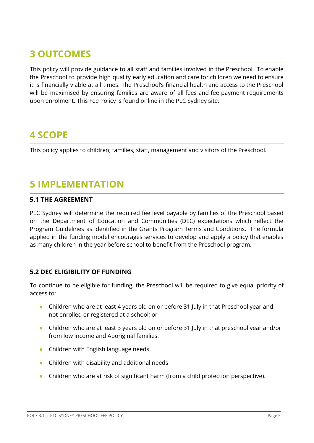# <span id="page-4-0"></span>**3 OUTCOMES**

This policy will provide guidance to all staff and families involved in the Preschool. To enable the Preschool to provide high quality early education and care for children we need to ensure it is financially viable at all times. The Preschool's financial health and access to the Preschool will be maximised by ensuring families are aware of all fees and fee payment requirements upon enrolment. This Fee Policy is found online in the PLC Sydney site.

## <span id="page-4-1"></span>**4 SCOPE**

This policy applies to children, families, staff, management and visitors of the Preschool.

## <span id="page-4-2"></span>**5 IMPLEMENTATION**

#### <span id="page-4-3"></span>**5.1 THE AGREEMENT**

PLC Sydney will determine the required fee level payable by families of the Preschool based on the Department of Education and Communities (DEC) expectations which reflect the Program Guidelines as identified in the Grants Program Terms and Conditions. The formula applied in the funding model encourages services to develop and apply a policy that enables as many children in the year before school to benefit from the Preschool program.

#### <span id="page-4-4"></span>**5.2 DEC ELIGIBILITY OF FUNDING**

To continue to be eligible for funding, the Preschool will be required to give equal priority of access to:

- Children who are at least 4 years old on or before 31 July in that Preschool year and not enrolled or registered at a school; or
- Children who are at least 3 years old on or before 31 July in that preschool year and/or from low income and Aboriginal families.
- Children with English language needs
- Children with disability and additional needs
- Children who are at risk of significant harm (from a child protection perspective).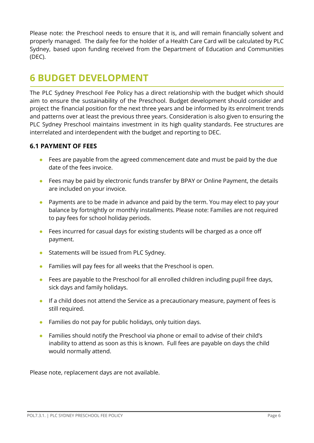Please note: the Preschool needs to ensure that it is, and will remain financially solvent and properly managed. The daily fee for the holder of a Health Care Card will be calculated by PLC Sydney, based upon funding received from the Department of Education and Communities (DEC).

## <span id="page-5-0"></span>**6 BUDGET DEVELOPMENT**

The PLC Sydney Preschool Fee Policy has a direct relationship with the budget which should aim to ensure the sustainability of the Preschool. Budget development should consider and project the financial position for the next three years and be informed by its enrolment trends and patterns over at least the previous three years. Consideration is also given to ensuring the PLC Sydney Preschool maintains investment in its high quality standards. Fee structures are interrelated and interdependent with the budget and reporting to DEC.

#### <span id="page-5-1"></span>**6.1 PAYMENT OF FEES**

- Fees are payable from the agreed commencement date and must be paid by the due date of the fees invoice.
- Fees may be paid by electronic funds transfer by BPAY or Online Payment, the details are included on your invoice.
- Payments are to be made in advance and paid by the term. You may elect to pay your balance by fortnightly or monthly installments. Please note: Families are not required to pay fees for school holiday periods.
- Fees incurred for casual days for existing students will be charged as a once off payment.
- Statements will be issued from PLC Sydney.
- Families will pay fees for all weeks that the Preschool is open.
- Fees are payable to the Preschool for all enrolled children including pupil free days, sick days and family holidays.
- If a child does not attend the Service as a precautionary measure, payment of fees is still required.
- Families do not pay for public holidays, only tuition days.
- Families should notify the Preschool via phone or email to advise of their child's inability to attend as soon as this is known. Full fees are payable on days the child would normally attend.

Please note, replacement days are not available.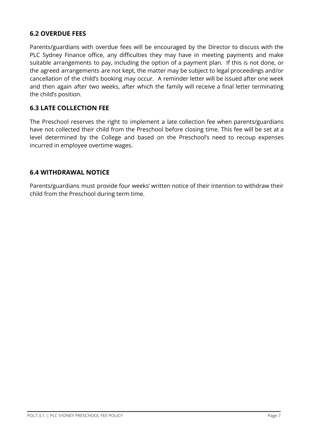#### <span id="page-6-0"></span>**6.2 OVERDUE FEES**

Parents/guardians with overdue fees will be encouraged by the Director to discuss with the PLC Sydney Finance office, any difficulties they may have in meeting payments and make suitable arrangements to pay, including the option of a payment plan. If this is not done, or the agreed arrangements are not kept, the matter may be subject to legal proceedings and/or cancellation of the child's booking may occur. A reminder letter will be issued after one week and then again after two weeks, after which the family will receive a final letter terminating the child's position.

#### <span id="page-6-1"></span>**6.3 LATE COLLECTION FEE**

The Preschool reserves the right to implement a late collection fee when parents/guardians have not collected their child from the Preschool before closing time. This fee will be set at a level determined by the College and based on the Preschool's need to recoup expenses incurred in employee overtime wages.

#### <span id="page-6-2"></span>**6.4 WITHDRAWAL NOTICE**

Parents/guardians must provide four weeks' written notice of their intention to withdraw their child from the Preschool during term time.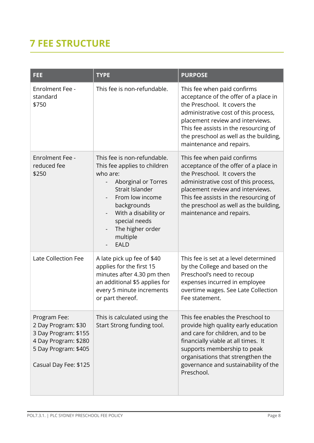# <span id="page-7-0"></span>**7 FEE STRUCTURE**

| FEE                                                                                                                                  | <b>TYPE</b>                                                                                                                                                                                                                                 | <b>PURPOSE</b>                                                                                                                                                                                                                                                                                  |  |  |
|--------------------------------------------------------------------------------------------------------------------------------------|---------------------------------------------------------------------------------------------------------------------------------------------------------------------------------------------------------------------------------------------|-------------------------------------------------------------------------------------------------------------------------------------------------------------------------------------------------------------------------------------------------------------------------------------------------|--|--|
| <b>Enrolment Fee -</b><br>standard<br>\$750                                                                                          | This fee is non-refundable.                                                                                                                                                                                                                 | This fee when paid confirms<br>acceptance of the offer of a place in<br>the Preschool. It covers the<br>administrative cost of this process,<br>placement review and interviews.<br>This fee assists in the resourcing of<br>the preschool as well as the building,<br>maintenance and repairs. |  |  |
| <b>Enrolment Fee -</b><br>reduced fee<br>\$250                                                                                       | This fee is non-refundable.<br>This fee applies to children<br>who are:<br>Aborginal or Torres<br>Strait Islander<br>From low income<br>backgrounds<br>With a disability or<br>special needs<br>The higher order<br>multiple<br><b>EALD</b> | This fee when paid confirms<br>acceptance of the offer of a place in<br>the Preschool. It covers the<br>administrative cost of this process,<br>placement review and interviews.<br>This fee assists in the resourcing of<br>the preschool as well as the building,<br>maintenance and repairs. |  |  |
| Late Collection Fee                                                                                                                  | A late pick up fee of \$40<br>applies for the first 15<br>minutes after 4.30 pm then<br>an additional \$5 applies for<br>every 5 minute increments<br>or part thereof.                                                                      | This fee is set at a level determined<br>by the College and based on the<br>Preschool's need to recoup<br>expenses incurred in employee<br>overtime wages. See Late Collection<br>Fee statement.                                                                                                |  |  |
| Program Fee:<br>2 Day Program: \$30<br>3 Day Program: \$155<br>4 Day Program: \$280<br>5 Day Program: \$405<br>Casual Day Fee: \$125 | This is calculated using the<br>Start Strong funding tool.                                                                                                                                                                                  | This fee enables the Preschool to<br>provide high quality early education<br>and care for children, and to be<br>financially viable at all times. It<br>supports membership to peak<br>organisations that strengthen the<br>governance and sustainability of the<br>Preschool.                  |  |  |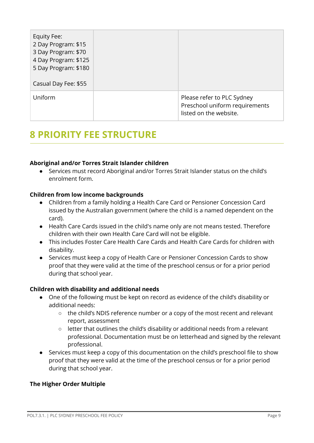| Equity Fee:<br>2 Day Program: \$15<br>3 Day Program: \$70<br>4 Day Program: \$125<br>5 Day Program: \$180<br>Casual Day Fee: \$55 |                                                                                        |
|-----------------------------------------------------------------------------------------------------------------------------------|----------------------------------------------------------------------------------------|
| Uniform                                                                                                                           | Please refer to PLC Sydney<br>Preschool uniform requirements<br>listed on the website. |

## <span id="page-8-0"></span>**8 PRIORITY FEE STRUCTURE**

#### **Aboriginal and/or Torres Strait Islander children**

● Services must record Aboriginal and/or Torres Strait Islander status on the child's enrolment form.

#### **Children from low income backgrounds**

- Children from a family holding a Health Care Card or Pensioner Concession Card issued by the Australian government (where the child is a named dependent on the card).
- Health Care Cards issued in the child's name only are not means tested. Therefore children with their own Health Care Card will not be eligible.
- This includes Foster Care Health Care Cards and Health Care Cards for children with disability.
- Services must keep a copy of Health Care or Pensioner Concession Cards to show proof that they were valid at the time of the preschool census or for a prior period during that school year.

#### **Children with disability and additional needs**

- One of the following must be kept on record as evidence of the child's disability or additional needs:
	- the child's NDIS reference number or a copy of the most recent and relevant report, assessment
	- $\circ$  letter that outlines the child's disability or additional needs from a relevant professional. Documentation must be on letterhead and signed by the relevant professional.
- Services must keep a copy of this documentation on the child's preschool file to show proof that they were valid at the time of the preschool census or for a prior period during that school year.

#### **The Higher Order Multiple**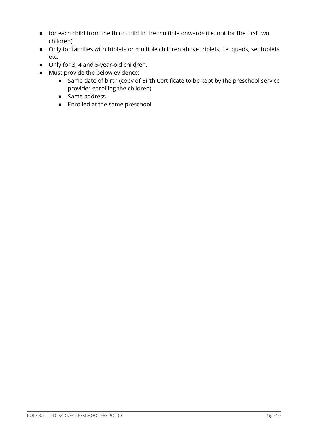- for each child from the third child in the multiple onwards (i.e. not for the first two children)
- Only for families with triplets or multiple children above triplets, i.e. quads, septuplets etc.
- Only for 3, 4 and 5-year-old children.
- Must provide the below evidence:
	- Same date of birth (copy of Birth Certificate to be kept by the preschool service provider enrolling the children)
	- Same address
	- Enrolled at the same preschool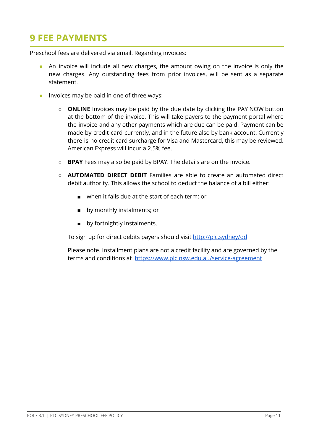# <span id="page-10-0"></span>**9 FEE PAYMENTS**

Preschool fees are delivered via email. Regarding invoices:

- An invoice will include all new charges, the amount owing on the invoice is only the new charges. Any outstanding fees from prior invoices, will be sent as a separate statement.
- Invoices may be paid in one of three ways:
	- **ONLINE** Invoices may be paid by the due date by clicking the PAY NOW button at the bottom of the invoice. This will take payers to the payment portal where the invoice and any other payments which are due can be paid. Payment can be made by credit card currently, and in the future also by bank account. Currently there is no credit card surcharge for Visa and Mastercard, this may be reviewed. American Express will incur a 2.5% fee.
	- **BPAY** Fees may also be paid by BPAY. The details are on the invoice.
	- **AUTOMATED DIRECT DEBIT** Families are able to create an automated direct debit authority. This allows the school to deduct the balance of a bill either:
		- when it falls due at the start of each term; or
		- by monthly instalments; or
		- by fortnightly instalments.

To sign up for direct debits payers should visit <http://plc.sydney/dd>

Please note. Installment plans are not a credit facility and are governed by the terms and conditions at <https://www.plc.nsw.edu.au/service-agreement>